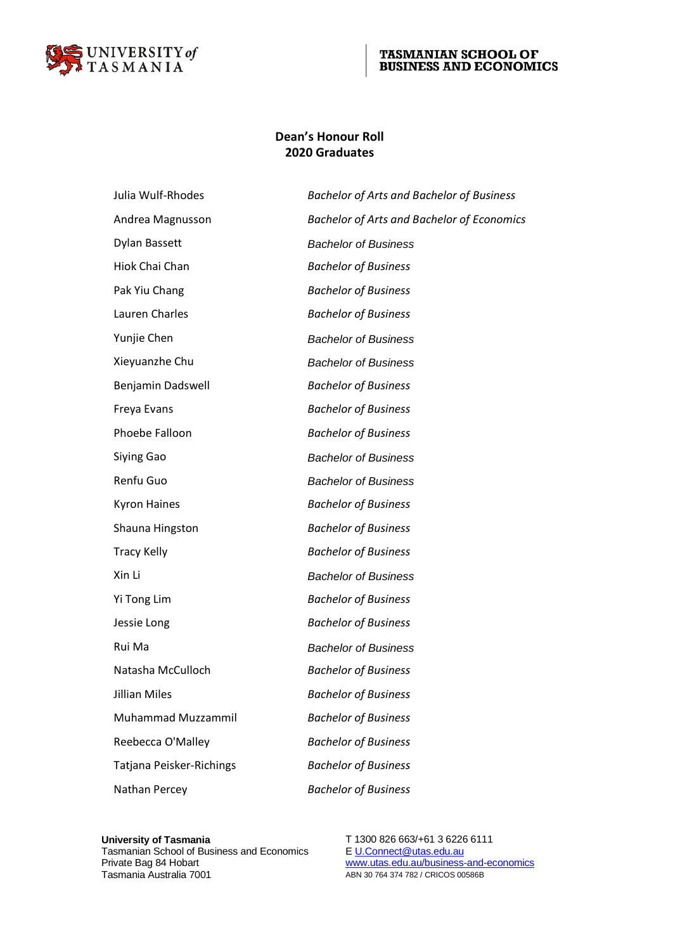

#### **TASMANIAN SCHOOL OF BUSINESS AND ECONOMICS**

### **Dean's Honour Roll 2020 Graduates**

| Julia Wulf-Rhodes        | <b>Bachelor of Arts and Bachelor of Business</b>  |
|--------------------------|---------------------------------------------------|
| Andrea Magnusson         | <b>Bachelor of Arts and Bachelor of Economics</b> |
| Dylan Bassett            | <b>Bachelor of Business</b>                       |
| Hiok Chai Chan           | <b>Bachelor of Business</b>                       |
| Pak Yiu Chang            | <b>Bachelor of Business</b>                       |
| Lauren Charles           | <b>Bachelor of Business</b>                       |
| Yunjie Chen              | <b>Bachelor of Business</b>                       |
| Xieyuanzhe Chu           | <b>Bachelor of Business</b>                       |
| Benjamin Dadswell        | <b>Bachelor of Business</b>                       |
| Freya Evans              | <b>Bachelor of Business</b>                       |
| Phoebe Falloon           | <b>Bachelor of Business</b>                       |
| Siying Gao               | <b>Bachelor of Business</b>                       |
| Renfu Guo                | <b>Bachelor of Business</b>                       |
| <b>Kyron Haines</b>      | <b>Bachelor of Business</b>                       |
| Shauna Hingston          | <b>Bachelor of Business</b>                       |
| <b>Tracy Kelly</b>       | <b>Bachelor of Business</b>                       |
| Xin Li                   | <b>Bachelor of Business</b>                       |
| Yi Tong Lim              | <b>Bachelor of Business</b>                       |
| Jessie Long              | <b>Bachelor of Business</b>                       |
| Rui Ma                   | <b>Bachelor of Business</b>                       |
| Natasha McCulloch        | <b>Bachelor of Business</b>                       |
| Jillian Miles            | <b>Bachelor of Business</b>                       |
| Muhammad Muzzammil       | <b>Bachelor of Business</b>                       |
| Reebecca O'Malley        | <b>Bachelor of Business</b>                       |
| Tatjana Peisker-Richings | <b>Bachelor of Business</b>                       |
| Nathan Percey            | <b>Bachelor of Business</b>                       |
|                          |                                                   |

### **University of Tasmania** T 1300 826 663/+61 3 6226 6111 Tasmanian School of Business and Economics<br>Private Bag 84 Hobart Tasmanian School of Business and Economics<br>
Private Bag 84 Hobart Www.utas.edu.au/business-and-economics<br>
Tasmania Australia 7001 ABN 30 764 374 782 / CRICOS 00586B

ABN 30 764 374 782 / CRICOS 00586B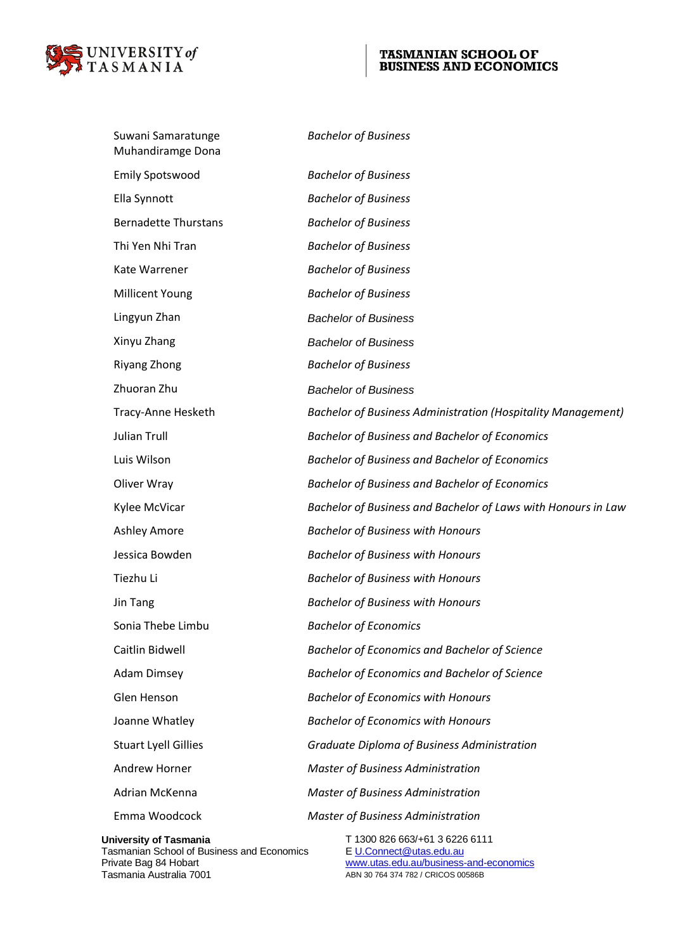

# TASMANIAN SCHOOL OF BUSINESS AND ECONOMICS

| Suwani Samaratunge<br>Muhandiramge Dona                                     | <b>Bachelor of Business</b>                                         |
|-----------------------------------------------------------------------------|---------------------------------------------------------------------|
| <b>Emily Spotswood</b>                                                      | <b>Bachelor of Business</b>                                         |
| Ella Synnott                                                                | <b>Bachelor of Business</b>                                         |
| <b>Bernadette Thurstans</b>                                                 | <b>Bachelor of Business</b>                                         |
| Thi Yen Nhi Tran                                                            | <b>Bachelor of Business</b>                                         |
| Kate Warrener                                                               | <b>Bachelor of Business</b>                                         |
| <b>Millicent Young</b>                                                      | <b>Bachelor of Business</b>                                         |
| Lingyun Zhan                                                                | <b>Bachelor of Business</b>                                         |
| Xinyu Zhang                                                                 | <b>Bachelor of Business</b>                                         |
| Riyang Zhong                                                                | <b>Bachelor of Business</b>                                         |
| Zhuoran Zhu                                                                 | <b>Bachelor of Business</b>                                         |
| Tracy-Anne Hesketh                                                          | <b>Bachelor of Business Administration (Hospitality Management)</b> |
| <b>Julian Trull</b>                                                         | <b>Bachelor of Business and Bachelor of Economics</b>               |
| Luis Wilson                                                                 | <b>Bachelor of Business and Bachelor of Economics</b>               |
| Oliver Wray                                                                 | <b>Bachelor of Business and Bachelor of Economics</b>               |
| Kylee McVicar                                                               | Bachelor of Business and Bachelor of Laws with Honours in Law       |
| <b>Ashley Amore</b>                                                         | <b>Bachelor of Business with Honours</b>                            |
| Jessica Bowden                                                              | <b>Bachelor of Business with Honours</b>                            |
| Tiezhu Li                                                                   | <b>Bachelor of Business with Honours</b>                            |
| Jin Tang                                                                    | <b>Bachelor of Business with Honours</b>                            |
| Sonia Thebe Limbu                                                           | <b>Bachelor of Economics</b>                                        |
| Caitlin Bidwell                                                             | <b>Bachelor of Economics and Bachelor of Science</b>                |
| <b>Adam Dimsey</b>                                                          | <b>Bachelor of Economics and Bachelor of Science</b>                |
| Glen Henson                                                                 | <b>Bachelor of Economics with Honours</b>                           |
| Joanne Whatley                                                              | <b>Bachelor of Economics with Honours</b>                           |
| <b>Stuart Lyell Gillies</b>                                                 | Graduate Diploma of Business Administration                         |
| Andrew Horner                                                               | <b>Master of Business Administration</b>                            |
| Adrian McKenna                                                              | <b>Master of Business Administration</b>                            |
| Emma Woodcock                                                               | <b>Master of Business Administration</b>                            |
| <b>University of Tasmania</b><br>Tasmanian School of Business and Economics | T 1300 826 663/+61 3 6226 6111<br>E U.Connect@utas.edu.au           |

ABN 30 764 374 782 / CRICOS 00586B

Tasmanian School of Business and Economics E U.Connect@utas.edu.au<br>Private Bag 84 Hobart www.utas.edu.au/business-and-economics<br>Tasmania Australia 7001 Tasmania Australia 7001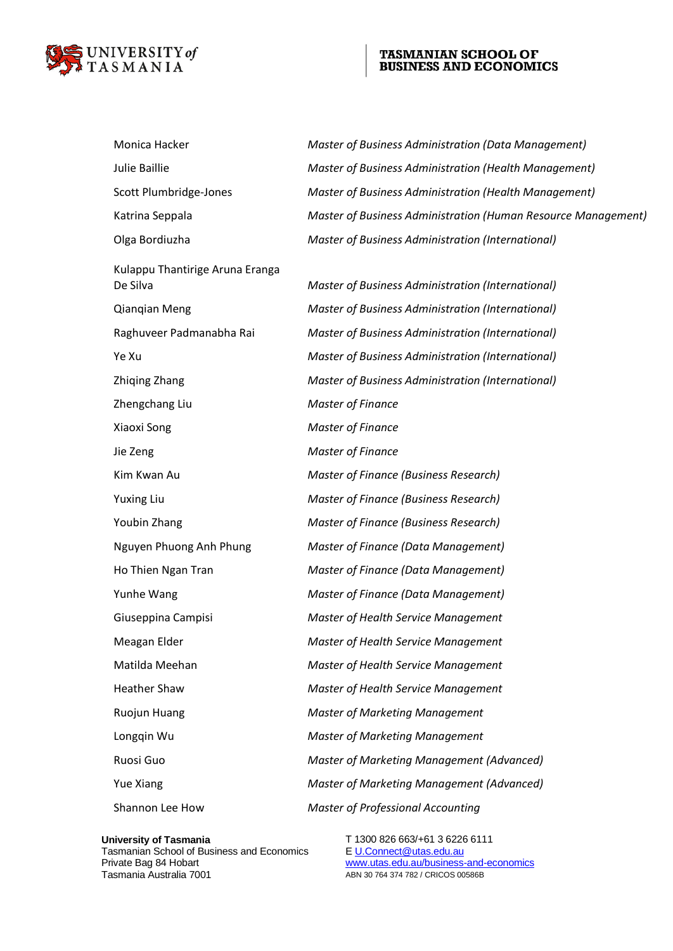

# TASMANIAN SCHOOL OF BUSINESS AND ECONOMICS

| Monica Hacker                   | Master of Business Administration (Data Management)           |
|---------------------------------|---------------------------------------------------------------|
| Julie Baillie                   | Master of Business Administration (Health Management)         |
| Scott Plumbridge-Jones          | Master of Business Administration (Health Management)         |
| Katrina Seppala                 | Master of Business Administration (Human Resource Management) |
| Olga Bordiuzha                  | Master of Business Administration (International)             |
| Kulappu Thantirige Aruna Eranga |                                                               |
| De Silva                        | Master of Business Administration (International)             |
| Qianqian Meng                   | Master of Business Administration (International)             |
| Raghuveer Padmanabha Rai        | Master of Business Administration (International)             |
| Ye Xu                           | Master of Business Administration (International)             |
| Zhiqing Zhang                   | Master of Business Administration (International)             |
| Zhengchang Liu                  | <b>Master of Finance</b>                                      |
| Xiaoxi Song                     | <b>Master of Finance</b>                                      |
| Jie Zeng                        | <b>Master of Finance</b>                                      |
| Kim Kwan Au                     | Master of Finance (Business Research)                         |
| <b>Yuxing Liu</b>               | Master of Finance (Business Research)                         |
| Youbin Zhang                    | Master of Finance (Business Research)                         |
| Nguyen Phuong Anh Phung         | Master of Finance (Data Management)                           |
| Ho Thien Ngan Tran              | Master of Finance (Data Management)                           |
| Yunhe Wang                      | Master of Finance (Data Management)                           |
| Giuseppina Campisi              | <b>Master of Health Service Management</b>                    |
| Meagan Elder                    | <b>Master of Health Service Management</b>                    |
| Matilda Meehan                  | Master of Health Service Management                           |
| <b>Heather Shaw</b>             | Master of Health Service Management                           |
| Ruojun Huang                    | <b>Master of Marketing Management</b>                         |
| Longqin Wu                      | <b>Master of Marketing Management</b>                         |
| Ruosi Guo                       | Master of Marketing Management (Advanced)                     |
| Yue Xiang                       | Master of Marketing Management (Advanced)                     |
| Shannon Lee How                 | <b>Master of Professional Accounting</b>                      |

Tasmanian School of Business and Economics<br>Private Bag 84 Hobart

**University of Tasmania** T 1300 826 663/+61 3 6226 6111 Tasmanian School of Business and Economics<br>
Private Bag 84 Hobart Www.utas.edu.au/business-and-economics<br>
Tasmania Australia 7001 ABN 30 764 374 782 / CRICOS 00586B ABN 30 764 374 782 / CRICOS 00586B